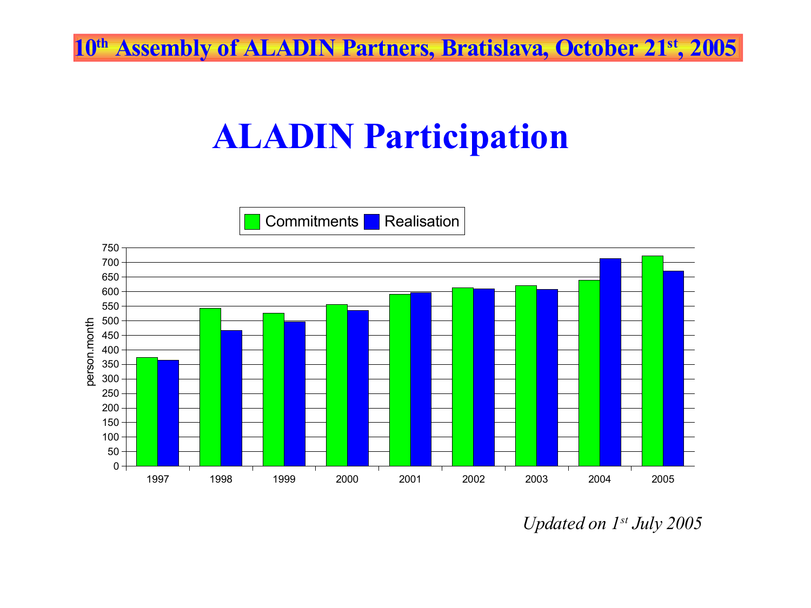**th Assembly of ALADIN Partners, Bratislava, October 21 st , 2005**

## **ALADIN Participation**



*Updated on 1 st July 2005*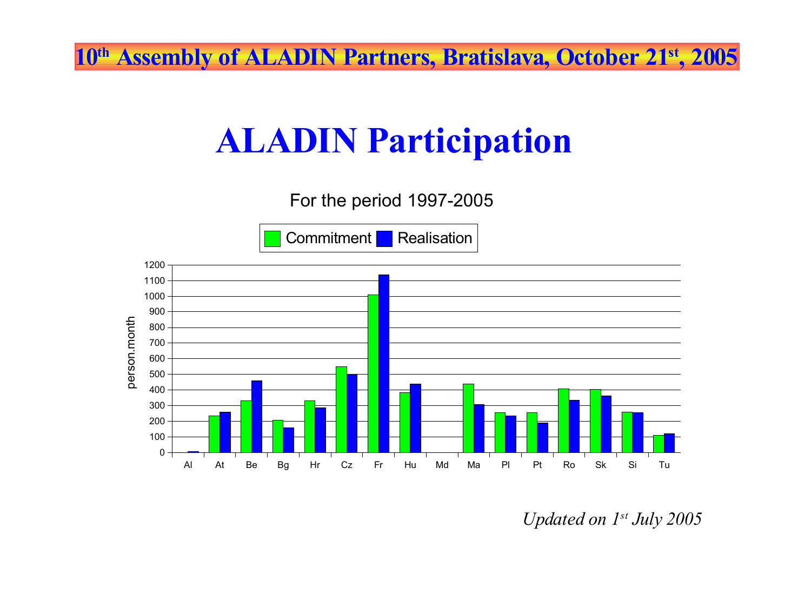**th Assembly of ALADIN Partners, Bratislava, October 21 st , 2005**

## **ALADIN Participation**

For the period 1997-2005

Commitment Realisation



*Updated on 1 st July 2005*